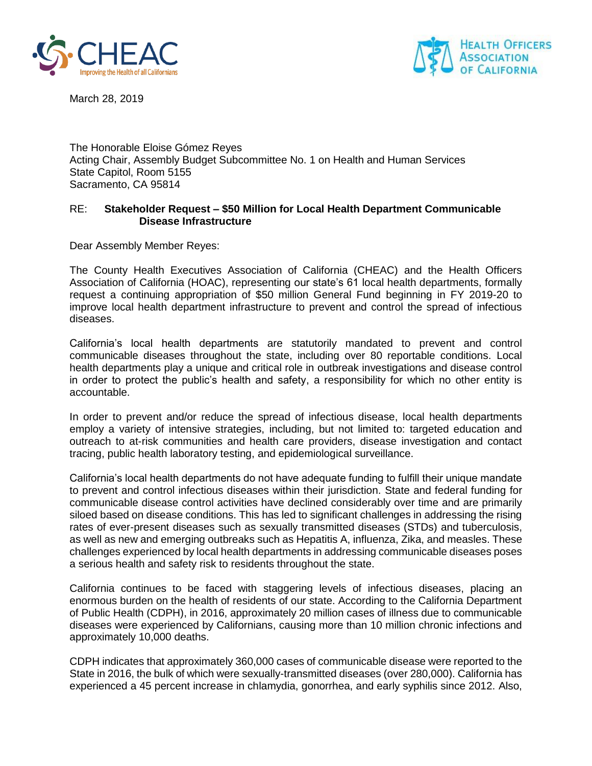



March 28, 2019

The Honorable Eloise Gómez Reyes Acting Chair, Assembly Budget Subcommittee No. 1 on Health and Human Services State Capitol, Room 5155 Sacramento, CA 95814

## RE: **Stakeholder Request – \$50 Million for Local Health Department Communicable Disease Infrastructure**

Dear Assembly Member Reyes:

The County Health Executives Association of California (CHEAC) and the Health Officers Association of California (HOAC), representing our state's 61 local health departments, formally request a continuing appropriation of \$50 million General Fund beginning in FY 2019-20 to improve local health department infrastructure to prevent and control the spread of infectious diseases.

California's local health departments are statutorily mandated to prevent and control communicable diseases throughout the state, including over 80 reportable conditions. Local health departments play a unique and critical role in outbreak investigations and disease control in order to protect the public's health and safety, a responsibility for which no other entity is accountable.

In order to prevent and/or reduce the spread of infectious disease, local health departments employ a variety of intensive strategies, including, but not limited to: targeted education and outreach to at-risk communities and health care providers, disease investigation and contact tracing, public health laboratory testing, and epidemiological surveillance.

California's local health departments do not have adequate funding to fulfill their unique mandate to prevent and control infectious diseases within their jurisdiction. State and federal funding for communicable disease control activities have declined considerably over time and are primarily siloed based on disease conditions. This has led to significant challenges in addressing the rising rates of ever-present diseases such as sexually transmitted diseases (STDs) and tuberculosis, as well as new and emerging outbreaks such as Hepatitis A, influenza, Zika, and measles. These challenges experienced by local health departments in addressing communicable diseases poses a serious health and safety risk to residents throughout the state.

California continues to be faced with staggering levels of infectious diseases, placing an enormous burden on the health of residents of our state. According to the California Department of Public Health (CDPH), in 2016, approximately 20 million cases of illness due to communicable diseases were experienced by Californians, causing more than 10 million chronic infections and approximately 10,000 deaths.

CDPH indicates that approximately 360,000 cases of communicable disease were reported to the State in 2016, the bulk of which were sexually-transmitted diseases (over 280,000). California has experienced a 45 percent increase in chlamydia, gonorrhea, and early syphilis since 2012. Also,